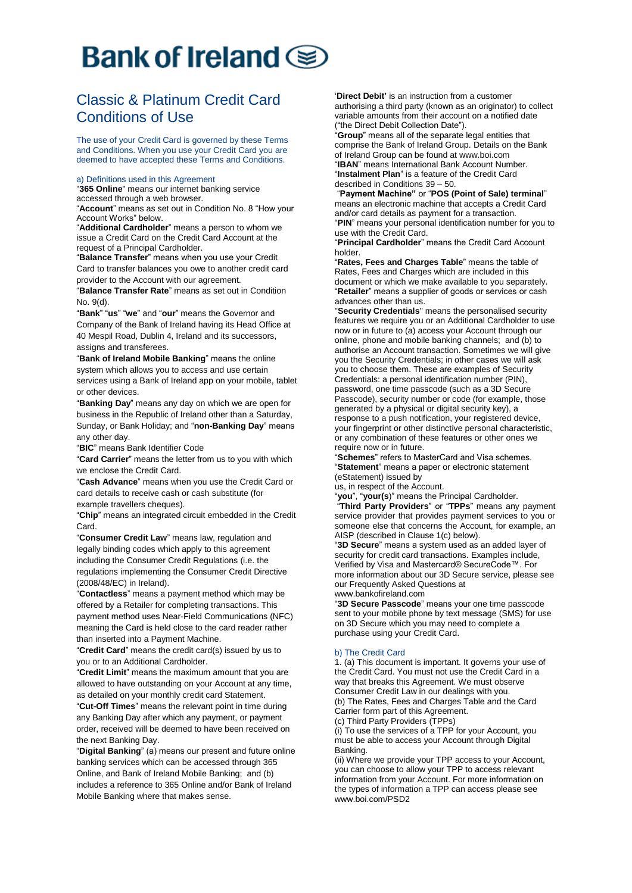# Bank of Ireland  $\textcircled{\ensuremath{\mathbf{g}}}$

# Classic & Platinum Credit Card Conditions of Use

The use of your Credit Card is governed by these Terms and Conditions. When you use your Credit Card you are deemed to have accepted these Terms and Conditions.

### a) Definitions used in this Agreement

"**365 Online**" means our internet banking service accessed through a web browser.

"**Account**" means as set out in Condition No. 8 "How your Account Works" below.

"**Additional Cardholder**" means a person to whom we issue a Credit Card on the Credit Card Account at the request of a Principal Cardholder.

"**Balance Transfer**" means when you use your Credit Card to transfer balances you owe to another credit card provider to the Account with our agreement.

"**Balance Transfer Rate**" means as set out in Condition No. 9(d).

"**Bank**" "**us**" "**we**" and "**our**" means the Governor and Company of the Bank of Ireland having its Head Office at 40 Mespil Road, Dublin 4, Ireland and its successors, assigns and transferees.

"**Bank of Ireland Mobile Banking**" means the online system which allows you to access and use certain services using a Bank of Ireland app on your mobile, tablet or other devices.

"**Banking Day**" means any day on which we are open for business in the Republic of Ireland other than a Saturday, Sunday, or Bank Holiday; and "**non-Banking Day**" means any other day.

"**BIC**" means Bank Identifier Code

"**Card Carrier**" means the letter from us to you with which we enclose the Credit Card.

"**Cash Advance**" means when you use the Credit Card or card details to receive cash or cash substitute (for example travellers cheques).

"**Chip**" means an integrated circuit embedded in the Credit Card.

"**Consumer Credit Law**" means law, regulation and legally binding codes which apply to this agreement including the Consumer Credit Regulations (i.e. the regulations implementing the Consumer Credit Directive (2008/48/EC) in Ireland).

"**Contactless**" means a payment method which may be offered by a Retailer for completing transactions. This payment method uses Near-Field Communications (NFC) meaning the Card is held close to the card reader rather than inserted into a Payment Machine.

"**Credit Card**" means the credit card(s) issued by us to you or to an Additional Cardholder.

"**Credit Limit**" means the maximum amount that you are allowed to have outstanding on your Account at any time, as detailed on your monthly credit card Statement.

"**Cut-Off Times**" means the relevant point in time during any Banking Day after which any payment, or payment order, received will be deemed to have been received on the next Banking Day.

"**Digital Banking**" (a) means our present and future online banking services which can be accessed through 365 Online, and Bank of Ireland Mobile Banking; and (b) includes a reference to 365 Online and/or Bank of Ireland Mobile Banking where that makes sense.

'**Direct Debit'** is an instruction from a customer authorising a third party (known as an originator) to collect variable amounts from their account on a notified date ("the Direct Debit Collection Date").

"**Group**" means all of the separate legal entities that comprise the Bank of Ireland Group. Details on the Bank of Ireland Group can be found at www.boi.com "**IBAN**" means International Bank Account Number. "**Instalment Plan**" is a feature of the Credit Card

described in Conditions 39 – 50.

"**Payment Machine"** or "**POS (Point of Sale) terminal**" means an electronic machine that accepts a Credit Card and/or card details as payment for a transaction. "**PIN**" means your personal identification number for you to use with the Credit Card.

"**Principal Cardholder**" means the Credit Card Account holder.

"**Rates, Fees and Charges Table**" means the table of Rates, Fees and Charges which are included in this document or which we make available to you separately. "**Retailer**" means a supplier of goods or services or cash advances other than us.

"**Security Credentials**" means the personalised security features we require you or an Additional Cardholder to use now or in future to (a) access your Account through our online, phone and mobile banking channels; and (b) to authorise an Account transaction. Sometimes we will give you the Security Credentials; in other cases we will ask you to choose them. These are examples of Security Credentials: a personal identification number (PIN), password, one time passcode (such as a 3D Secure Passcode), security number or code (for example, those generated by a physical or digital security key), a response to a push notification, your registered device, your fingerprint or other distinctive personal characteristic, or any combination of these features or other ones we require now or in future.

"**Schemes**" refers to MasterCard and Visa schemes. "**Statement**" means a paper or electronic statement (eStatement) issued by

us, in respect of the Account.

"**you**", "**your(s**)" means the Principal Cardholder.

"**Third Party Providers**" or "**TPPs**" means any payment service provider that provides payment services to you or someone else that concerns the Account, for example, an AISP (described in Clause 1(c) below).

"**3D Secure**" means a system used as an added layer of security for credit card transactions. Examples include, Verified by Visa and Mastercard® SecureCode™. For more information about our 3D Secure service, please see our Frequently Asked Questions at

www.bankofireland.com

"**3D Secure Passcode**" means your one time passcode sent to your mobile phone by text message (SMS) for use on 3D Secure which you may need to complete a purchase using your Credit Card.

# b) The Credit Card

1. (a) This document is important. It governs your use of the Credit Card. You must not use the Credit Card in a way that breaks this Agreement. We must observe Consumer Credit Law in our dealings with you. (b) The Rates, Fees and Charges Table and the Card Carrier form part of this Agreement. (c) Third Party Providers (TPPs)

(i) To use the services of a TPP for your Account, you must be able to access your Account through Digital Banking.

(ii) Where we provide your TPP access to your Account, you can choose to allow your TPP to access relevant information from your Account. For more information on the types of information a TPP can access please see www.boi.com/PSD2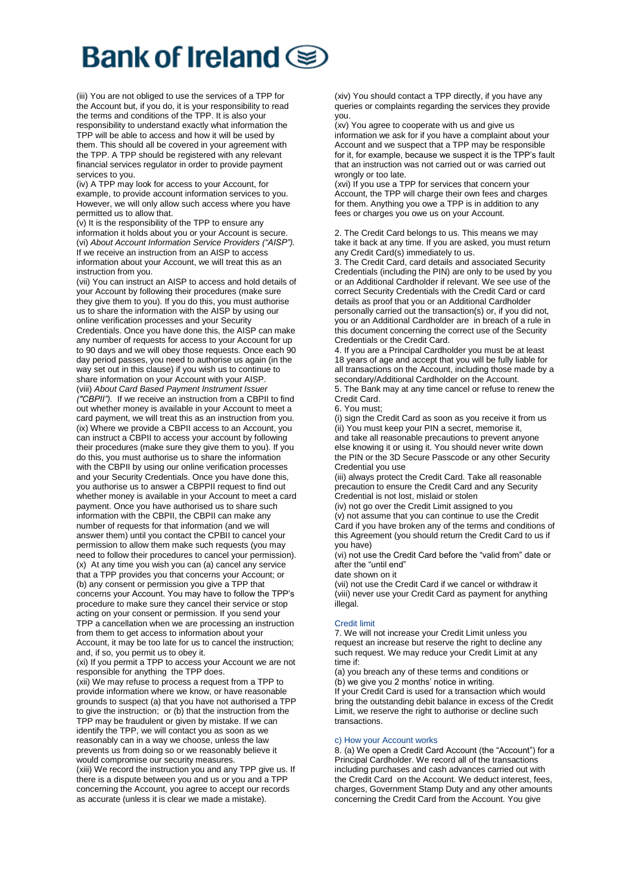# **Bank of Ireland (**

(iii) You are not obliged to use the services of a TPP for the Account but, if you do, it is your responsibility to read the terms and conditions of the TPP. It is also your responsibility to understand exactly what information the TPP will be able to access and how it will be used by them. This should all be covered in your agreement with the TPP. A TPP should be registered with any relevant financial services regulator in order to provide payment services to you.

(iv) A TPP may look for access to your Account, for example, to provide account information services to you. However, we will only allow such access where you have permitted us to allow that.

(v) It is the responsibility of the TPP to ensure any information it holds about you or your Account is secure. (vi) *About Account Information Service Providers ("AISP").*  If we receive an instruction from an AISP to access information about your Account, we will treat this as an instruction from you.

(vii) You can instruct an AISP to access and hold details of your Account by following their procedures (make sure they give them to you). If you do this, you must authorise us to share the information with the AISP by using our online verification processes and your Security Credentials. Once you have done this, the AISP can make any number of requests for access to your Account for up to 90 days and we will obey those requests. Once each 90 day period passes, you need to authorise us again (in the way set out in this clause) if you wish us to continue to share information on your Account with your AISP. (viii) *About Card Based Payment Instrument Issuer ("CBPII").* If we receive an instruction from a CBPII to find out whether money is available in your Account to meet a card payment, we will treat this as an instruction from you. (ix) Where we provide a CBPII access to an Account, you can instruct a CBPII to access your account by following their procedures (make sure they give them to you). If you do this, you must authorise us to share the information with the CBPII by using our online verification processes and your Security Credentials. Once you have done this, you authorise us to answer a CBPPII request to find out whether money is available in your Account to meet a card payment. Once you have authorised us to share such information with the CBPII, the CBPII can make any number of requests for that information (and we will answer them) until you contact the CPBII to cancel your permission to allow them make such requests (you may need to follow their procedures to cancel your permission). (x) At any time you wish you can (a) cancel any service that a TPP provides you that concerns your Account; or (b) any consent or permission you give a TPP that concerns your Account. You may have to follow the TPP's procedure to make sure they cancel their service or stop acting on your consent or permission. If you send your TPP a cancellation when we are processing an instruction from them to get access to information about your Account, it may be too late for us to cancel the instruction; and, if so, you permit us to obey it.

(xi) If you permit a TPP to access your Account we are not responsible for anything the TPP does.

(xii) We may refuse to process a request from a TPP to provide information where we know, or have reasonable grounds to suspect (a) that you have not authorised a TPP to give the instruction; or (b) that the instruction from the TPP may be fraudulent or given by mistake. If we can identify the TPP, we will contact you as soon as we reasonably can in a way we choose, unless the law prevents us from doing so or we reasonably believe it would compromise our security measures. (xiii) We record the instruction you and any TPP give us. If

there is a dispute between you and us or you and a TPP concerning the Account, you agree to accept our records as accurate (unless it is clear we made a mistake).

(xiv) You should contact a TPP directly, if you have any queries or complaints regarding the services they provide you.

(xv) You agree to cooperate with us and give us information we ask for if you have a complaint about your Account and we suspect that a TPP may be responsible for it, for example, because we suspect it is the TPP's fault that an instruction was not carried out or was carried out wrongly or too late.

(xvi) If you use a TPP for services that concern your Account, the TPP will charge their own fees and charges for them. Anything you owe a TPP is in addition to any fees or charges you owe us on your Account.

2. The Credit Card belongs to us. This means we may take it back at any time. If you are asked, you must return any Credit Card(s) immediately to us.

3. The Credit Card, card details and associated Security Credentials (including the PIN) are only to be used by you or an Additional Cardholder if relevant. We see use of the correct Security Credentials with the Credit Card or card details as proof that you or an Additional Cardholder personally carried out the transaction(s) or, if you did not, you or an Additional Cardholder are in breach of a rule in this document concerning the correct use of the Security Credentials or the Credit Card.

4. If you are a Principal Cardholder you must be at least 18 years of age and accept that you will be fully liable for all transactions on the Account, including those made by a secondary/Additional Cardholder on the Account. 5. The Bank may at any time cancel or refuse to renew the Credit Card.

6. You must;

(i) sign the Credit Card as soon as you receive it from us (ii) You must keep your PIN a secret, memorise it, and take all reasonable precautions to prevent anyone else knowing it or using it. You should never write down the PIN or the 3D Secure Passcode or any other Security Credential you use

(iii) always protect the Credit Card. Take all reasonable precaution to ensure the Credit Card and any Security Credential is not lost, mislaid or stolen

(iv) not go over the Credit Limit assigned to you (v) not assume that you can continue to use the Credit Card if you have broken any of the terms and conditions of this Agreement (you should return the Credit Card to us if you have)

(vi) not use the Credit Card before the "valid from" date or after the "until end"

date shown on it

(vii) not use the Credit Card if we cancel or withdraw it (viii) never use your Credit Card as payment for anything illegal.

# Credit limit

7. We will not increase your Credit Limit unless you request an increase but reserve the right to decline any such request. We may reduce your Credit Limit at any time if:

(a) you breach any of these terms and conditions or (b) we give you 2 months' notice in writing.

If your Credit Card is used for a transaction which would bring the outstanding debit balance in excess of the Credit Limit, we reserve the right to authorise or decline such transactions.

# c) How your Account works

8. (a) We open a Credit Card Account (the "Account") for a Principal Cardholder. We record all of the transactions including purchases and cash advances carried out with the Credit Card on the Account. We deduct interest, fees, charges, Government Stamp Duty and any other amounts concerning the Credit Card from the Account. You give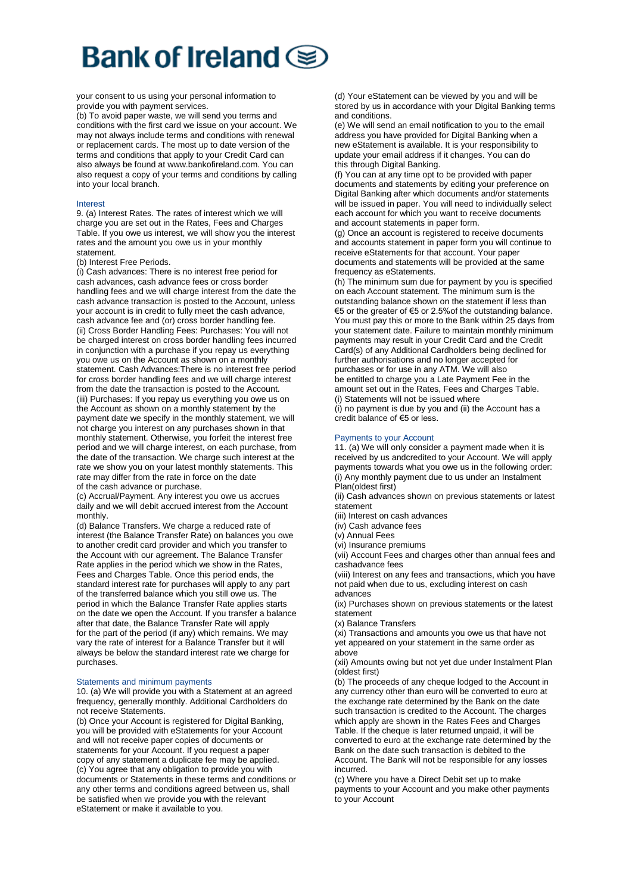your consent to us using your personal information to provide you with payment services.

(b) To avoid paper waste, we will send you terms and conditions with the first card we issue on your account. We may not always include terms and conditions with renewal or replacement cards. The most up to date version of the terms and conditions that apply to your Credit Card can also always be found at www.bankofireland.com. You can also request a copy of your terms and conditions by calling into your local branch.

### Interest

9. (a) Interest Rates. The rates of interest which we will charge you are set out in the Rates, Fees and Charges Table. If you owe us interest, we will show you the interest rates and the amount you owe us in your monthly statement.

(b) Interest Free Periods.

(i) Cash advances: There is no interest free period for cash advances, cash advance fees or cross border handling fees and we will charge interest from the date the cash advance transaction is posted to the Account, unless your account is in credit to fully meet the cash advance, cash advance fee and (or) cross border handling fee. (ii) Cross Border Handling Fees: Purchases: You will not be charged interest on cross border handling fees incurred in conjunction with a purchase if you repay us everything you owe us on the Account as shown on a monthly statement. Cash Advances:There is no interest free period for cross border handling fees and we will charge interest from the date the transaction is posted to the Account. (iii) Purchases: If you repay us everything you owe us on the Account as shown on a monthly statement by the payment date we specify in the monthly statement, we will not charge you interest on any purchases shown in that monthly statement. Otherwise, you forfeit the interest free period and we will charge interest, on each purchase, from the date of the transaction. We charge such interest at the rate we show you on your latest monthly statements. This rate may differ from the rate in force on the date of the cash advance or purchase.

(c) Accrual/Payment. Any interest you owe us accrues daily and we will debit accrued interest from the Account monthly.

(d) Balance Transfers. We charge a reduced rate of interest (the Balance Transfer Rate) on balances you owe to another credit card provider and which you transfer to the Account with our agreement. The Balance Transfer Rate applies in the period which we show in the Rates, Fees and Charges Table. Once this period ends, the standard interest rate for purchases will apply to any part of the transferred balance which you still owe us. The period in which the Balance Transfer Rate applies starts on the date we open the Account. If you transfer a balance after that date, the Balance Transfer Rate will apply for the part of the period (if any) which remains. We may vary the rate of interest for a Balance Transfer but it will always be below the standard interest rate we charge for purchases.

# Statements and minimum payments

10. (a) We will provide you with a Statement at an agreed frequency, generally monthly. Additional Cardholders do not receive Statements.

(b) Once your Account is registered for Digital Banking. you will be provided with eStatements for your Account and will not receive paper copies of documents or statements for your Account. If you request a paper copy of any statement a duplicate fee may be applied. (c) You agree that any obligation to provide you with documents or Statements in these terms and conditions or any other terms and conditions agreed between us, shall be satisfied when we provide you with the relevant eStatement or make it available to you.

(d) Your eStatement can be viewed by you and will be stored by us in accordance with your Digital Banking terms and conditions.

(e) We will send an email notification to you to the email address you have provided for Digital Banking when a new eStatement is available. It is your responsibility to update your email address if it changes. You can do this through Digital Banking.

(f) You can at any time opt to be provided with paper documents and statements by editing your preference on Digital Banking after which documents and/or statements will be issued in paper. You will need to individually select each account for which you want to receive documents and account statements in paper form.

(g) Once an account is registered to receive documents and accounts statement in paper form you will continue to receive eStatements for that account. Your paper documents and statements will be provided at the same frequency as eStatements.

(h) The minimum sum due for payment by you is specified on each Account statement. The minimum sum is the outstanding balance shown on the statement if less than €5 or the greater of €5 or 2.5%of the outstanding balance. You must pay this or more to the Bank within 25 days from your statement date. Failure to maintain monthly minimum payments may result in your Credit Card and the Credit Card(s) of any Additional Cardholders being declined for further authorisations and no longer accepted for purchases or for use in any ATM. We will also be entitled to charge you a Late Payment Fee in the amount set out in the Rates, Fees and Charges Table. (i) Statements will not be issued where

(i) no payment is due by you and (ii) the Account has a credit balance of €5 or less.

# Payments to your Account

11. (a) We will only consider a payment made when it is received by us andcredited to your Account. We will apply payments towards what you owe us in the following order: (i) Any monthly payment due to us under an Instalment Plan(oldest first)

(ii) Cash advances shown on previous statements or latest statement

(iii) Interest on cash advances

(iv) Cash advance fees

(v) Annual Fees

(vi) Insurance premiums

(vii) Account Fees and charges other than annual fees and cashadvance fees

(viii) Interest on any fees and transactions, which you have not paid when due to us, excluding interest on cash advances

(ix) Purchases shown on previous statements or the latest statement

(x) Balance Transfers

(xi) Transactions and amounts you owe us that have not yet appeared on your statement in the same order as above

(xii) Amounts owing but not yet due under Instalment Plan (oldest first)

(b) The proceeds of any cheque lodged to the Account in any currency other than euro will be converted to euro at the exchange rate determined by the Bank on the date such transaction is credited to the Account. The charges which apply are shown in the Rates Fees and Charges Table. If the cheque is later returned unpaid, it will be converted to euro at the exchange rate determined by the Bank on the date such transaction is debited to the Account. The Bank will not be responsible for any losses incurred.

(c) Where you have a Direct Debit set up to make payments to your Account and you make other payments to your Account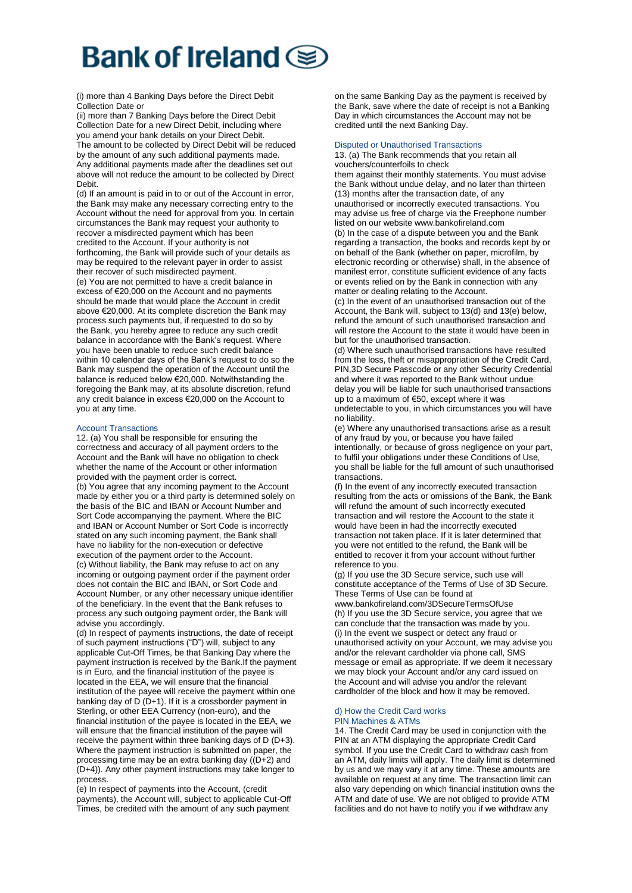(i) more than 4 Banking Days before the Direct Debit Collection Date or

(ii) more than 7 Banking Days before the Direct Debit Collection Date for a new Direct Debit, including where you amend your bank details on your Direct Debit. The amount to be collected by Direct Debit will be reduced by the amount of any such additional payments made. Any additional payments made after the deadlines set out above will not reduce the amount to be collected by Direct Debit.

(d) If an amount is paid in to or out of the Account in error, the Bank may make any necessary correcting entry to the Account without the need for approval from you. In certain circumstances the Bank may request your authority to recover a misdirected payment which has been credited to the Account. If your authority is not forthcoming, the Bank will provide such of your details as may be required to the relevant payer in order to assist their recover of such misdirected payment. (e) You are not permitted to have a credit balance in excess of €20,000 on the Account and no payments should be made that would place the Account in credit above €20,000. At its complete discretion the Bank may process such payments but, if requested to do so by the Bank, you hereby agree to reduce any such credit

balance in accordance with the Bank's request. Where you have been unable to reduce such credit balance within 10 calendar days of the Bank's request to do so the Bank may suspend the operation of the Account until the balance is reduced below €20,000. Notwithstanding the foregoing the Bank may, at its absolute discretion, refund any credit balance in excess €20,000 on the Account to you at any time.

#### Account Transactions

12. (a) You shall be responsible for ensuring the correctness and accuracy of all payment orders to the Account and the Bank will have no obligation to check whether the name of the Account or other information provided with the payment order is correct. (b) You agree that any incoming payment to the Account made by either you or a third party is determined solely on the basis of the BIC and IBAN or Account Number and Sort Code accompanying the payment. Where the BIC and IBAN or Account Number or Sort Code is incorrectly stated on any such incoming payment, the Bank shall have no liability for the non-execution or defective execution of the payment order to the Account. (c) Without liability, the Bank may refuse to act on any incoming or outgoing payment order if the payment order does not contain the BIC and IBAN, or Sort Code and Account Number, or any other necessary unique identifier of the beneficiary. In the event that the Bank refuses to process any such outgoing payment order, the Bank will advise you accordingly.

(d) In respect of payments instructions, the date of receipt of such payment instructions ("D") will, subject to any applicable Cut-Off Times, be that Banking Day where the payment instruction is received by the Bank.If the payment is in Euro, and the financial institution of the payee is located in the EEA, we will ensure that the financial institution of the payee will receive the payment within one banking day of D (D+1). If it is a crossborder payment in Sterling, or other EEA Currency (non-euro), and the financial institution of the payee is located in the EEA, we will ensure that the financial institution of the payee will receive the payment within three banking days of D (D+3). Where the payment instruction is submitted on paper, the processing time may be an extra banking day ((D+2) and (D+4)). Any other payment instructions may take longer to process.

(e) In respect of payments into the Account, (credit payments), the Account will, subject to applicable Cut-Off Times, be credited with the amount of any such payment

on the same Banking Day as the payment is received by the Bank, save where the date of receipt is not a Banking Day in which circumstances the Account may not be credited until the next Banking Day.

#### Disputed or Unauthorised Transactions

13. (a) The Bank recommends that you retain all vouchers/counterfoils to check

them against their monthly statements. You must advise the Bank without undue delay, and no later than thirteen (13) months after the transaction date, of any unauthorised or incorrectly executed transactions. You may advise us free of charge via the Freephone number listed on our website www.bankofireland.com

(b) In the case of a dispute between you and the Bank regarding a transaction, the books and records kept by or on behalf of the Bank (whether on paper, microfilm, by electronic recording or otherwise) shall, in the absence of manifest error, constitute sufficient evidence of any facts or events relied on by the Bank in connection with any matter or dealing relating to the Account.

(c) In the event of an unauthorised transaction out of the Account, the Bank will, subject to 13(d) and 13(e) below, refund the amount of such unauthorised transaction and will restore the Account to the state it would have been in but for the unauthorised transaction.

(d) Where such unauthorised transactions have resulted from the loss, theft or misappropriation of the Credit Card, PIN,3D Secure Passcode or any other Security Credential and where it was reported to the Bank without undue delay you will be liable for such unauthorised transactions up to a maximum of €50, except where it was

undetectable to you, in which circumstances you will have no liability.

(e) Where any unauthorised transactions arise as a result of any fraud by you, or because you have failed intentionally, or because of gross negligence on your part, to fulfil your obligations under these Conditions of Use, you shall be liable for the full amount of such unauthorised transactions.

(f) In the event of any incorrectly executed transaction resulting from the acts or omissions of the Bank, the Bank will refund the amount of such incorrectly executed transaction and will restore the Account to the state it would have been in had the incorrectly executed transaction not taken place. If it is later determined that you were not entitled to the refund, the Bank will be entitled to recover it from your account without further reference to you.

(g) If you use the 3D Secure service, such use will constitute acceptance of the Terms of Use of 3D Secure. These Terms of Use can be found at

www.bankofireland.com/3DSecureTermsOfUse (h) If you use the 3D Secure service, you agree that we can conclude that the transaction was made by you. (i) In the event we suspect or detect any fraud or unauthorised activity on your Account, we may advise you and/or the relevant cardholder via phone call, SMS message or email as appropriate. If we deem it necessary we may block your Account and/or any card issued on the Account and will advise you and/or the relevant cardholder of the block and how it may be removed.

#### d) How the Credit Card works PIN Machines & ATMs

14. The Credit Card may be used in conjunction with the PIN at an ATM displaying the appropriate Credit Card symbol. If you use the Credit Card to withdraw cash from an ATM, daily limits will apply. The daily limit is determined by us and we may vary it at any time. These amounts are available on request at any time. The transaction limit can also vary depending on which financial institution owns the ATM and date of use. We are not obliged to provide ATM facilities and do not have to notify you if we withdraw any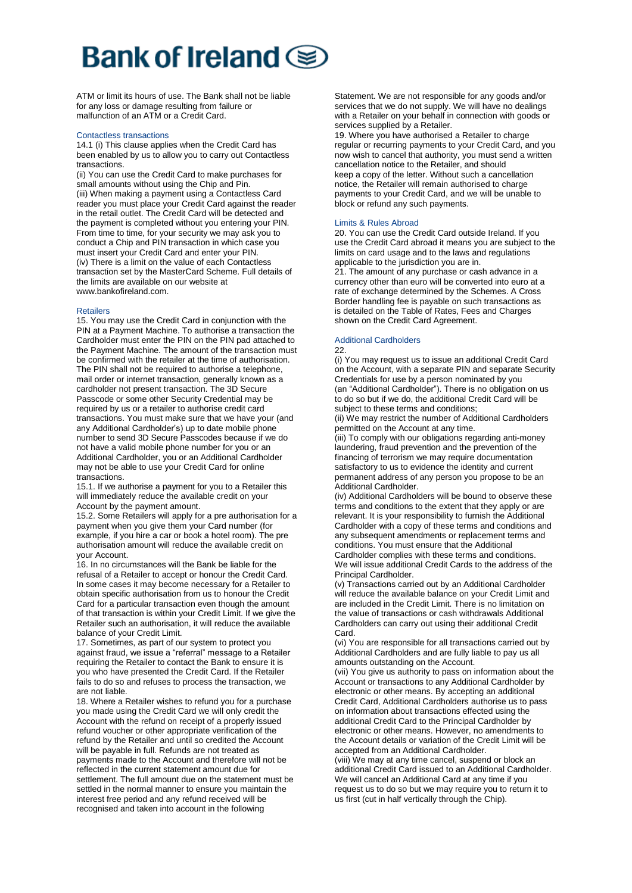# **Bank of Ireland**

ATM or limit its hours of use. The Bank shall not be liable for any loss or damage resulting from failure or malfunction of an ATM or a Credit Card.

#### Contactless transactions

14.1 (i) This clause applies when the Credit Card has been enabled by us to allow you to carry out Contactless transactions.

(ii) You can use the Credit Card to make purchases for small amounts without using the Chip and Pin. (iii) When making a payment using a Contactless Card reader you must place your Credit Card against the reader in the retail outlet. The Credit Card will be detected and the payment is completed without you entering your PIN. From time to time, for your security we may ask you to conduct a Chip and PIN transaction in which case you must insert your Credit Card and enter your PIN. (iv) There is a limit on the value of each Contactless transaction set by the MasterCard Scheme. Full details of the limits are available on our website at www.bankofireland.com.

#### **Retailers**

15. You may use the Credit Card in conjunction with the PIN at a Payment Machine. To authorise a transaction the Cardholder must enter the PIN on the PIN pad attached to the Payment Machine. The amount of the transaction must be confirmed with the retailer at the time of authorisation. The PIN shall not be required to authorise a telephone. mail order or internet transaction, generally known as a cardholder not present transaction. The 3D Secure Passcode or some other Security Credential may be required by us or a retailer to authorise credit card transactions. You must make sure that we have your (and any Additional Cardholder's) up to date mobile phone number to send 3D Secure Passcodes because if we do not have a valid mobile phone number for you or an Additional Cardholder, you or an Additional Cardholder may not be able to use your Credit Card for online transactions.

15.1. If we authorise a payment for you to a Retailer this will immediately reduce the available credit on your Account by the payment amount.

15.2. Some Retailers will apply for a pre authorisation for a payment when you give them your Card number (for example, if you hire a car or book a hotel room). The pre authorisation amount will reduce the available credit on your Account.

16. In no circumstances will the Bank be liable for the refusal of a Retailer to accept or honour the Credit Card. In some cases it may become necessary for a Retailer to obtain specific authorisation from us to honour the Credit Card for a particular transaction even though the amount of that transaction is within your Credit Limit. If we give the Retailer such an authorisation, it will reduce the available balance of your Credit Limit.

17. Sometimes, as part of our system to protect you against fraud, we issue a "referral" message to a Retailer requiring the Retailer to contact the Bank to ensure it is you who have presented the Credit Card. If the Retailer fails to do so and refuses to process the transaction, we are not liable.

18. Where a Retailer wishes to refund you for a purchase you made using the Credit Card we will only credit the Account with the refund on receipt of a properly issued refund voucher or other appropriate verification of the refund by the Retailer and until so credited the Account will be payable in full. Refunds are not treated as payments made to the Account and therefore will not be reflected in the current statement amount due for settlement. The full amount due on the statement must be settled in the normal manner to ensure you maintain the interest free period and any refund received will be recognised and taken into account in the following

Statement. We are not responsible for any goods and/or services that we do not supply. We will have no dealings with a Retailer on your behalf in connection with goods or services supplied by a Retailer.

19. Where you have authorised a Retailer to charge regular or recurring payments to your Credit Card, and you now wish to cancel that authority, you must send a written cancellation notice to the Retailer, and should keep a copy of the letter. Without such a cancellation notice, the Retailer will remain authorised to charge payments to your Credit Card, and we will be unable to block or refund any such payments.

#### Limits & Rules Abroad

20. You can use the Credit Card outside Ireland. If you use the Credit Card abroad it means you are subject to the limits on card usage and to the laws and regulations applicable to the jurisdiction you are in.

21. The amount of any purchase or cash advance in a currency other than euro will be converted into euro at a rate of exchange determined by the Schemes. A Cross Border handling fee is payable on such transactions as is detailed on the Table of Rates, Fees and Charges shown on the Credit Card Agreement.

# Additional Cardholders

22.

(i) You may request us to issue an additional Credit Card on the Account, with a separate PIN and separate Security Credentials for use by a person nominated by you (an "Additional Cardholder"). There is no obligation on us to do so but if we do, the additional Credit Card will be subject to these terms and conditions;

(ii) We may restrict the number of Additional Cardholders permitted on the Account at any time.

(iii) To comply with our obligations regarding anti-money laundering, fraud prevention and the prevention of the financing of terrorism we may require documentation satisfactory to us to evidence the identity and current permanent address of any person you propose to be an Additional Cardholder.

(iv) Additional Cardholders will be bound to observe these terms and conditions to the extent that they apply or are relevant. It is your responsibility to furnish the Additional Cardholder with a copy of these terms and conditions and any subsequent amendments or replacement terms and conditions. You must ensure that the Additional Cardholder complies with these terms and conditions. We will issue additional Credit Cards to the address of the Principal Cardholder.

(v) Transactions carried out by an Additional Cardholder will reduce the available balance on your Credit Limit and are included in the Credit Limit. There is no limitation on the value of transactions or cash withdrawals Additional Cardholders can carry out using their additional Credit Card.

(vi) You are responsible for all transactions carried out by Additional Cardholders and are fully liable to pay us all amounts outstanding on the Account.

(vii) You give us authority to pass on information about the Account or transactions to any Additional Cardholder by electronic or other means. By accepting an additional Credit Card, Additional Cardholders authorise us to pass on information about transactions effected using the additional Credit Card to the Principal Cardholder by electronic or other means. However, no amendments to the Account details or variation of the Credit Limit will be accepted from an Additional Cardholder.

(viii) We may at any time cancel, suspend or block an additional Credit Card issued to an Additional Cardholder. We will cancel an Additional Card at any time if you request us to do so but we may require you to return it to us first (cut in half vertically through the Chip).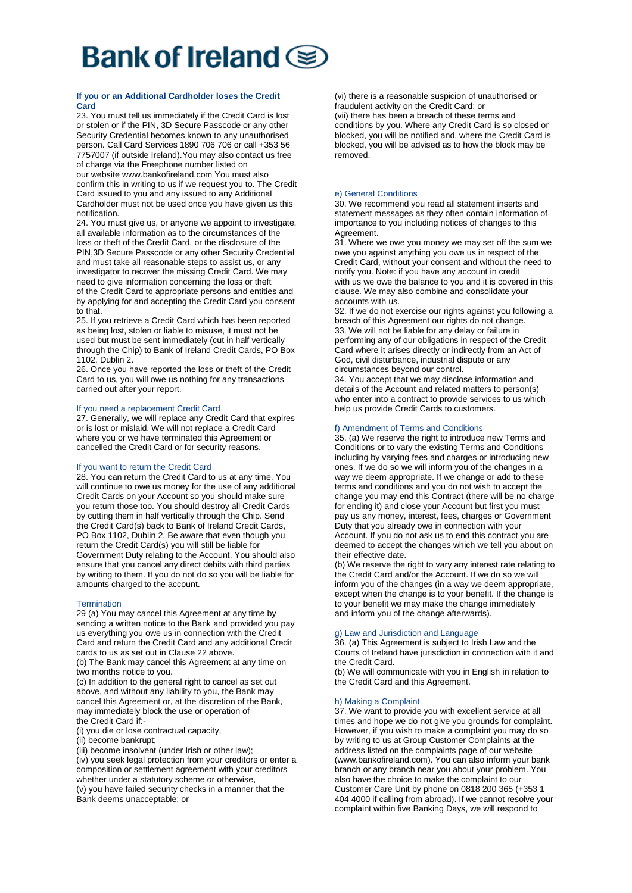# **If you or an Additional Cardholder loses the Credit Card**

23. You must tell us immediately if the Credit Card is lost or stolen or if the PIN, 3D Secure Passcode or any other Security Credential becomes known to any unauthorised person. Call Card Services 1890 706 706 or call +353 56 7757007 (if outside Ireland).You may also contact us free of charge via the Freephone number listed on our website www.bankofireland.com You must also confirm this in writing to us if we request you to. The Credit Card issued to you and any issued to any Additional Cardholder must not be used once you have given us this notification.

24. You must give us, or anyone we appoint to investigate, all available information as to the circumstances of the loss or theft of the Credit Card, or the disclosure of the PIN,3D Secure Passcode or any other Security Credential and must take all reasonable steps to assist us, or any investigator to recover the missing Credit Card. We may need to give information concerning the loss or theft of the Credit Card to appropriate persons and entities and by applying for and accepting the Credit Card you consent to that.

25. If you retrieve a Credit Card which has been reported as being lost, stolen or liable to misuse, it must not be used but must be sent immediately (cut in half vertically through the Chip) to Bank of Ireland Credit Cards, PO Box 1102, Dublin 2.

26. Once you have reported the loss or theft of the Credit Card to us, you will owe us nothing for any transactions carried out after your report.

### If you need a replacement Credit Card

27. Generally, we will replace any Credit Card that expires or is lost or mislaid. We will not replace a Credit Card where you or we have terminated this Agreement or cancelled the Credit Card or for security reasons.

#### If you want to return the Credit Card

28. You can return the Credit Card to us at any time. You will continue to owe us money for the use of any additional Credit Cards on your Account so you should make sure you return those too. You should destroy all Credit Cards by cutting them in half vertically through the Chip. Send the Credit Card(s) back to Bank of Ireland Credit Cards, PO Box 1102, Dublin 2. Be aware that even though you return the Credit Card(s) you will still be liable for Government Duty relating to the Account. You should also ensure that you cancel any direct debits with third parties by writing to them. If you do not do so you will be liable for amounts charged to the account.

# **Termination**

29 (a) You may cancel this Agreement at any time by sending a written notice to the Bank and provided you pay us everything you owe us in connection with the Credit Card and return the Credit Card and any additional Credit cards to us as set out in Clause 22 above.

(b) The Bank may cancel this Agreement at any time on two months notice to you.

(c) In addition to the general right to cancel as set out above, and without any liability to you, the Bank may cancel this Agreement or, at the discretion of the Bank, may immediately block the use or operation of the Credit Card if:-

(i) you die or lose contractual capacity,

(ii) become bankrupt;

(iii) become insolvent (under Irish or other law); (iv) you seek legal protection from your creditors or enter a composition or settlement agreement with your creditors whether under a statutory scheme or otherwise,

(v) you have failed security checks in a manner that the Bank deems unacceptable; or

(vi) there is a reasonable suspicion of unauthorised or fraudulent activity on the Credit Card; or (vii) there has been a breach of these terms and conditions by you. Where any Credit Card is so closed or blocked, you will be notified and, where the Credit Card is blocked, you will be advised as to how the block may be removed.

### e) General Conditions

30. We recommend you read all statement inserts and statement messages as they often contain information of importance to you including notices of changes to this Agreement

31. Where we owe you money we may set off the sum we owe you against anything you owe us in respect of the Credit Card, without your consent and without the need to notify you. Note: if you have any account in credit with us we owe the balance to you and it is covered in this clause. We may also combine and consolidate your accounts with us.

32. If we do not exercise our rights against you following a breach of this Agreement our rights do not change. 33. We will not be liable for any delay or failure in performing any of our obligations in respect of the Credit Card where it arises directly or indirectly from an Act of God, civil disturbance, industrial dispute or any circumstances beyond our control.

34. You accept that we may disclose information and details of the Account and related matters to person(s) who enter into a contract to provide services to us which help us provide Credit Cards to customers.

### f) Amendment of Terms and Conditions

35. (a) We reserve the right to introduce new Terms and Conditions or to vary the existing Terms and Conditions including by varying fees and charges or introducing new ones. If we do so we will inform you of the changes in a way we deem appropriate. If we change or add to these terms and conditions and you do not wish to accept the change you may end this Contract (there will be no charge for ending it) and close your Account but first you must pay us any money, interest, fees, charges or Government Duty that you already owe in connection with your Account. If you do not ask us to end this contract you are deemed to accept the changes which we tell you about on their effective date.

(b) We reserve the right to vary any interest rate relating to the Credit Card and/or the Account. If we do so we will inform you of the changes (in a way we deem appropriate, except when the change is to your benefit. If the change is to your benefit we may make the change immediately and inform you of the change afterwards).

### g) Law and Jurisdiction and Language

36. (a) This Agreement is subject to Irish Law and the Courts of Ireland have jurisdiction in connection with it and the Credit Card.

(b) We will communicate with you in English in relation to the Credit Card and this Agreement.

#### h) Making a Complaint

37. We want to provide you with excellent service at all times and hope we do not give you grounds for complaint. However, if you wish to make a complaint you may do so by writing to us at Group Customer Complaints at the address listed on the complaints page of our website (www.bankofireland.com). You can also inform your bank branch or any branch near you about your problem. You also have the choice to make the complaint to our Customer Care Unit by phone on 0818 200 365 (+353 1 404 4000 if calling from abroad). If we cannot resolve your complaint within five Banking Days, we will respond to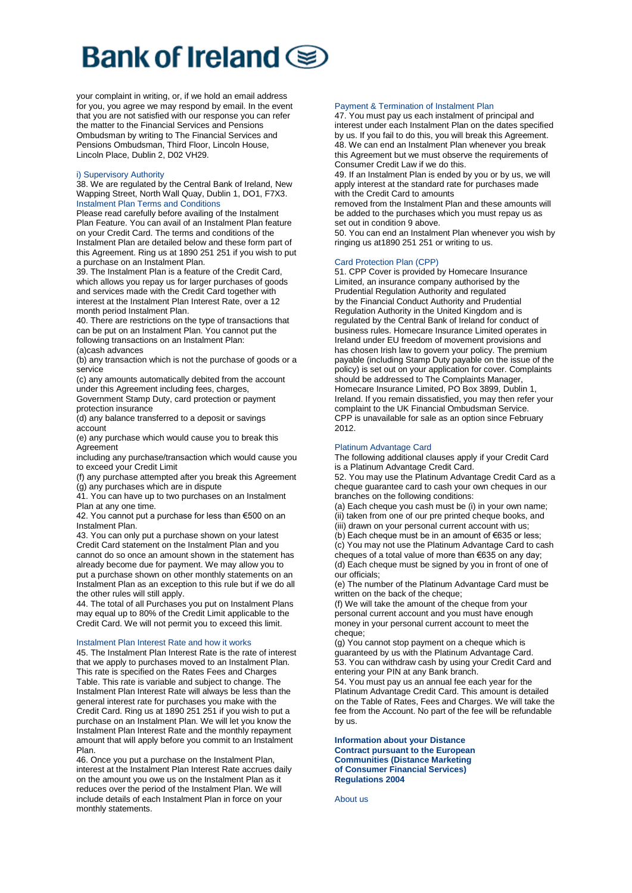# Bank of Ireland @

your complaint in writing, or, if we hold an email address for you, you agree we may respond by email. In the event that you are not satisfied with our response you can refer the matter to the Financial Services and Pensions Ombudsman by writing to The Financial Services and Pensions Ombudsman, Third Floor, Lincoln House, Lincoln Place, Dublin 2, D02 VH29.

### i) Supervisory Authority

38. We are regulated by the Central Bank of Ireland, New Wapping Street, North Wall Quay, Dublin 1, DO1, F7X3. Instalment Plan Terms and Conditions

Please read carefully before availing of the Instalment Plan Feature. You can avail of an Instalment Plan feature on your Credit Card. The terms and conditions of the Instalment Plan are detailed below and these form part of this Agreement. Ring us at 1890 251 251 if you wish to put a purchase on an Instalment Plan.

39. The Instalment Plan is a feature of the Credit Card, which allows you repay us for larger purchases of goods and services made with the Credit Card together with interest at the Instalment Plan Interest Rate, over a 12 month period Instalment Plan.

40. There are restrictions on the type of transactions that can be put on an Instalment Plan. You cannot put the following transactions on an Instalment Plan: (a)cash advances

(b) any transaction which is not the purchase of goods or a service

(c) any amounts automatically debited from the account under this Agreement including fees, charges, Government Stamp Duty, card protection or payment

protection insurance (d) any balance transferred to a deposit or savings

account (e) any purchase which would cause you to break this

Agreement including any purchase/transaction which would cause you

to exceed your Credit Limit (f) any purchase attempted after you break this Agreement

(g) any purchases which are in dispute 41. You can have up to two purchases on an Instalment

Plan at any one time.

42. You cannot put a purchase for less than €500 on an Instalment Plan.

43. You can only put a purchase shown on your latest Credit Card statement on the Instalment Plan and you cannot do so once an amount shown in the statement has already become due for payment. We may allow you to put a purchase shown on other monthly statements on an Instalment Plan as an exception to this rule but if we do all the other rules will still apply.

44. The total of all Purchases you put on Instalment Plans may equal up to 80% of the Credit Limit applicable to the Credit Card. We will not permit you to exceed this limit.

### Instalment Plan Interest Rate and how it works

45. The Instalment Plan Interest Rate is the rate of interest that we apply to purchases moved to an Instalment Plan. This rate is specified on the Rates Fees and Charges Table. This rate is variable and subject to change. The Instalment Plan Interest Rate will always be less than the general interest rate for purchases you make with the Credit Card. Ring us at 1890 251 251 if you wish to put a purchase on an Instalment Plan. We will let you know the Instalment Plan Interest Rate and the monthly repayment amount that will apply before you commit to an Instalment Plan.

46. Once you put a purchase on the Instalment Plan, interest at the Instalment Plan Interest Rate accrues daily on the amount you owe us on the Instalment Plan as it reduces over the period of the Instalment Plan. We will include details of each Instalment Plan in force on your monthly statements.

### Payment & Termination of Instalment Plan

47. You must pay us each instalment of principal and interest under each Instalment Plan on the dates specified by us. If you fail to do this, you will break this Agreement. 48. We can end an Instalment Plan whenever you break this Agreement but we must observe the requirements of Consumer Credit Law if we do this.

49. If an Instalment Plan is ended by you or by us, we will apply interest at the standard rate for purchases made with the Credit Card to amounts

removed from the Instalment Plan and these amounts will be added to the purchases which you must repay us as set out in condition 9 above.

50. You can end an Instalment Plan whenever you wish by ringing us at1890 251 251 or writing to us.

# Card Protection Plan (CPP)

51. CPP Cover is provided by Homecare Insurance Limited, an insurance company authorised by the Prudential Regulation Authority and regulated by the Financial Conduct Authority and Prudential Regulation Authority in the United Kingdom and is regulated by the Central Bank of Ireland for conduct of business rules. Homecare Insurance Limited operates in Ireland under EU freedom of movement provisions and has chosen Irish law to govern your policy. The premium payable (including Stamp Duty payable on the issue of the policy) is set out on your application for cover. Complaints should be addressed to The Complaints Manager, Homecare Insurance Limited, PO Box 3899, Dublin 1, Ireland. If you remain dissatisfied, you may then refer your complaint to the UK Financial Ombudsman Service. CPP is unavailable for sale as an option since February 2012.

#### Platinum Advantage Card

The following additional clauses apply if your Credit Card is a Platinum Advantage Credit Card.

52. You may use the Platinum Advantage Credit Card as a cheque guarantee card to cash your own cheques in our branches on the following conditions:

(a) Each cheque you cash must be (i) in your own name:

(ii) taken from one of our pre printed cheque books, and

(iii) drawn on your personal current account with us;

(b) Each cheque must be in an amount of €635 or less; (c) You may not use the Platinum Advantage Card to cash cheques of a total value of more than €635 on any day; (d) Each cheque must be signed by you in front of one of

our officials; (e) The number of the Platinum Advantage Card must be written on the back of the cheque;

(f) We will take the amount of the cheque from your personal current account and you must have enough money in your personal current account to meet the cheque;

(g) You cannot stop payment on a cheque which is guaranteed by us with the Platinum Advantage Card. 53. You can withdraw cash by using your Credit Card and entering your PIN at any Bank branch.

54. You must pay us an annual fee each year for the Platinum Advantage Credit Card. This amount is detailed on the Table of Rates, Fees and Charges. We will take the fee from the Account. No part of the fee will be refundable by us.

#### **Information about your Distance Contract pursuant to the European Communities (Distance Marketing of Consumer Financial Services) Regulations 2004**

About us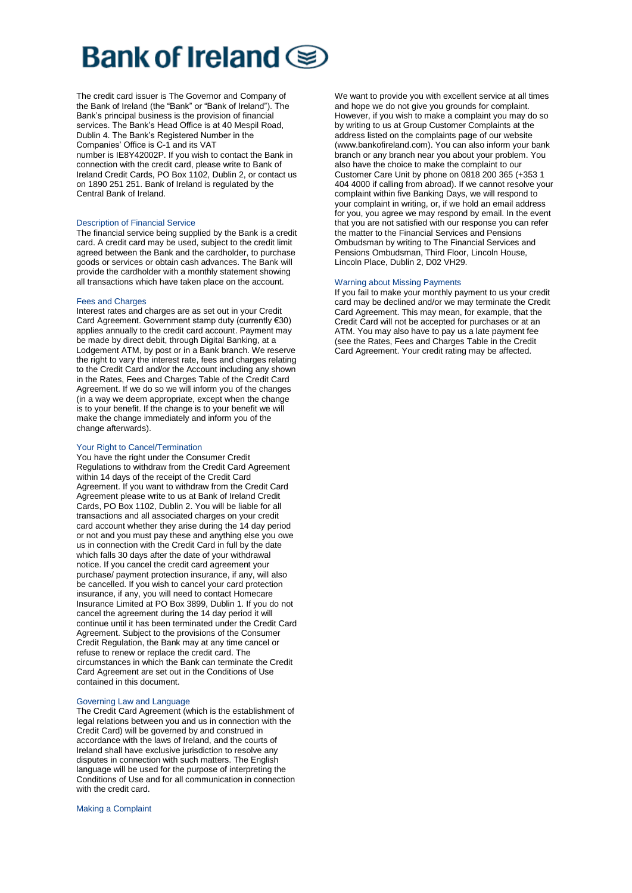The credit card issuer is The Governor and Company of the Bank of Ireland (the "Bank" or "Bank of Ireland"). The Bank's principal business is the provision of financial services. The Bank's Head Office is at 40 Mespil Road, Dublin 4. The Bank's Registered Number in the Companies' Office is C-1 and its VAT

number is IE8Y42002P. If you wish to contact the Bank in connection with the credit card, please write to Bank of Ireland Credit Cards, PO Box 1102, Dublin 2, or contact us on 1890 251 251. Bank of Ireland is regulated by the Central Bank of Ireland.

#### Description of Financial Service

The financial service being supplied by the Bank is a credit card. A credit card may be used, subject to the credit limit agreed between the Bank and the cardholder, to purchase goods or services or obtain cash advances. The Bank will provide the cardholder with a monthly statement showing all transactions which have taken place on the account.

#### Fees and Charges

Interest rates and charges are as set out in your Credit Card Agreement. Government stamp duty (currently €30) applies annually to the credit card account. Payment may be made by direct debit, through Digital Banking, at a Lodgement ATM, by post or in a Bank branch. We reserve the right to vary the interest rate, fees and charges relating to the Credit Card and/or the Account including any shown in the Rates, Fees and Charges Table of the Credit Card Agreement. If we do so we will inform you of the changes (in a way we deem appropriate, except when the change is to your benefit. If the change is to your benefit we will make the change immediately and inform you of the change afterwards).

#### Your Right to Cancel/Termination

You have the right under the Consumer Credit Regulations to withdraw from the Credit Card Agreement within 14 days of the receipt of the Credit Card Agreement. If you want to withdraw from the Credit Card Agreement please write to us at Bank of Ireland Credit Cards, PO Box 1102, Dublin 2. You will be liable for all transactions and all associated charges on your credit card account whether they arise during the 14 day period or not and you must pay these and anything else you owe us in connection with the Credit Card in full by the date which falls 30 days after the date of your withdrawal notice. If you cancel the credit card agreement your purchase/ payment protection insurance, if any, will also be cancelled. If you wish to cancel your card protection insurance, if any, you will need to contact Homecare Insurance Limited at PO Box 3899, Dublin 1. If you do not cancel the agreement during the 14 day period it will continue until it has been terminated under the Credit Card Agreement. Subject to the provisions of the Consumer Credit Regulation, the Bank may at any time cancel or refuse to renew or replace the credit card. The circumstances in which the Bank can terminate the Credit Card Agreement are set out in the Conditions of Use contained in this document.

#### Governing Law and Language

The Credit Card Agreement (which is the establishment of legal relations between you and us in connection with the Credit Card) will be governed by and construed in accordance with the laws of Ireland, and the courts of Ireland shall have exclusive jurisdiction to resolve any disputes in connection with such matters. The English language will be used for the purpose of interpreting the Conditions of Use and for all communication in connection with the credit card.

Making a Complaint

We want to provide you with excellent service at all times and hope we do not give you grounds for complaint. However, if you wish to make a complaint you may do so by writing to us at Group Customer Complaints at the address listed on the complaints page of our website (www.bankofireland.com). You can also inform your bank branch or any branch near you about your problem. You also have the choice to make the complaint to our Customer Care Unit by phone on 0818 200 365 (+353 1 404 4000 if calling from abroad). If we cannot resolve your complaint within five Banking Days, we will respond to your complaint in writing, or, if we hold an email address for you, you agree we may respond by email. In the event that you are not satisfied with our response you can refer the matter to the Financial Services and Pensions Ombudsman by writing to The Financial Services and Pensions Ombudsman, Third Floor, Lincoln House, Lincoln Place, Dublin 2, D02 VH29.

#### Warning about Missing Payments

If you fail to make your monthly payment to us your credit card may be declined and/or we may terminate the Credit Card Agreement. This may mean, for example, that the Credit Card will not be accepted for purchases or at an ATM. You may also have to pay us a late payment fee (see the Rates, Fees and Charges Table in the Credit Card Agreement. Your credit rating may be affected.